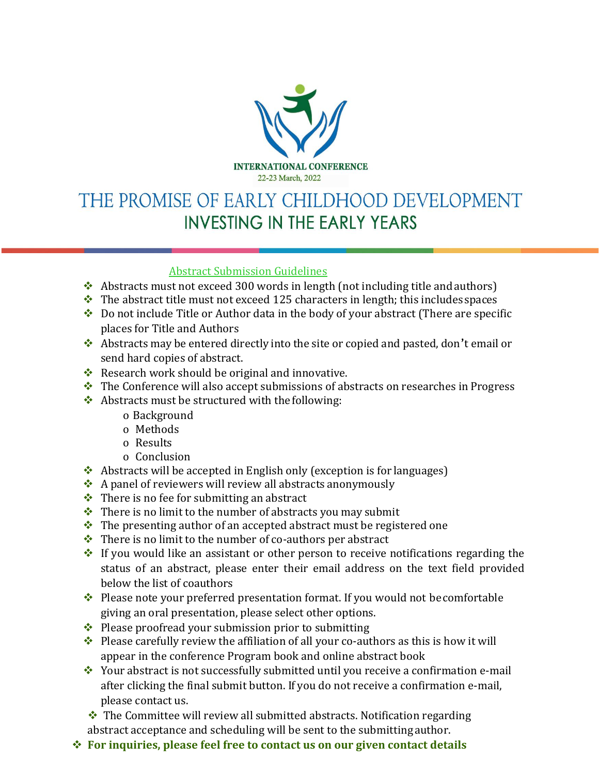

## THE PROMISE OF EARLY CHILDHOOD DEVELOPMENT **INVESTING IN THE EARLY YEARS**

## Abstract Submission Guidelines

- ❖ Abstracts must not exceed 300 words in length (not including title andauthors)
- $\cdot \cdot$  The abstract title must not exceed 125 characters in length; this includes spaces
- ❖ Do not include Title or Author data in the body of your abstract (There are specific places for Title and Authors
- ❖ Abstracts may be entered directly into the site or copied and pasted, don't email or send hard copies of abstract.
- ❖ Research work should be original and innovative.
- ❖ The Conference will also accept submissions of abstracts on researches in Progress
- ❖ Abstracts must be structured with the following:
	- o Background
	- o Methods
	- o Results
	- o Conclusion
- ❖ Abstracts will be accepted in English only (exception is for languages)
- ❖ A panel of reviewers will review all abstracts anonymously
- $\triangle$  There is no fee for submitting an abstract
- $\cdot \cdot$  There is no limit to the number of abstracts you may submit
- ❖ The presenting author of an accepted abstract must be registered one
- ❖ There is no limit to the number of co-authors per abstract
- ❖ If you would like an assistant or other person to receive notifications regarding the status of an abstract, please enter their email address on the text field provided below the list of coauthors
- ❖ Please note your preferred presentation format. If you would not becomfortable giving an oral presentation, please select other options.
- ❖ Please proofread your submission prior to submitting
- $\bullet$  Please carefully review the affiliation of all your co-authors as this is how it will appear in the conference Program book and online abstract book
- ❖ Your abstract is not successfully submitted until you receive a confirmation e-mail after clicking the final submit button. If you do not receive a confirmation e-mail, please contact us.

❖ The Committee will review all submitted abstracts. Notification regarding abstract acceptance and scheduling will be sent to the submitting author.

❖ **For inquiries, please feel free to contact us on our given contact details**